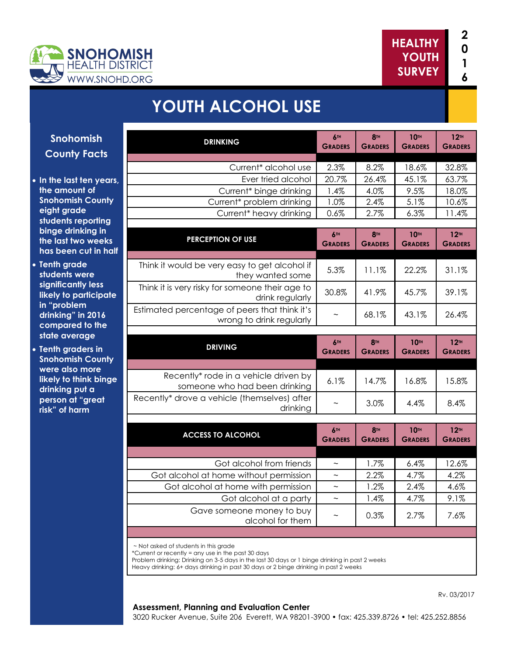



# **YOUTH ALCOHOL USE**

| Snohomish                                    | <b>DRINKING</b>                                                           | 6TH<br><b>GRADERS</b>             | <b>8TH</b><br><b>GRADERS</b>      | 10TH<br><b>GRADERS</b>        | 12 <sup>TH</sup><br><b>GRADERS</b> |
|----------------------------------------------|---------------------------------------------------------------------------|-----------------------------------|-----------------------------------|-------------------------------|------------------------------------|
| <b>County Facts</b>                          |                                                                           |                                   |                                   |                               |                                    |
|                                              | Current* alcohol use                                                      | 2.3%                              | 8.2%                              | 18.6%                         | 32.8%                              |
| the last ten years,                          | Ever tried alcohol                                                        | 20.7%                             | 26.4%                             | 45.1%                         | 63.7%                              |
| e amount of                                  | Current* binge drinking                                                   | 1.4%                              | 4.0%                              | 9.5%                          | 18.0%                              |
| ohomish County                               | Current* problem drinking                                                 | 1.0%                              | 2.4%                              | 5.1%                          | 10.6%                              |
| ght grade<br>dents reporting                 | Current <sup>*</sup> heavy drinking                                       | 0.6%                              | 2.7%                              | 6.3%                          | 11.4%                              |
| nge drinking in                              |                                                                           |                                   |                                   |                               |                                    |
| e last two weeks                             | <b>PERCEPTION OF USE</b>                                                  | 6TH<br><b>GRADERS</b>             | 8 <sup>TH</sup><br><b>GRADERS</b> | <b>10TH</b><br><b>GRADERS</b> | 12 <sup>TH</sup><br><b>GRADERS</b> |
| is been cut in half                          |                                                                           |                                   |                                   |                               |                                    |
| nth grade<br>dents were                      | Think it would be very easy to get alcohol if<br>they wanted some         | 5.3%                              | 11.1%                             | 22.2%                         | 31.1%                              |
| inificantly less<br>ely to participate       | Think it is very risky for someone their age to<br>drink regularly        | 30.8%                             | 41.9%                             | 45.7%                         | 39.1%                              |
| "problem<br>inking" in 2016<br>mpared to the | Estimated percentage of peers that think it's<br>wrong to drink regularly |                                   | 68.1%                             | 43.1%                         | 26.4%                              |
| ate average                                  |                                                                           |                                   |                                   |                               |                                    |
| nth graders in                               | <b>DRIVING</b>                                                            | 6TH                               | <b>8TH</b>                        | <b>10TH</b>                   | 12 <sup>TH</sup>                   |
| ohomish County                               |                                                                           | <b>GRADERS</b>                    | <b>GRADERS</b>                    | <b>GRADERS</b>                | <b>GRADERS</b>                     |
| ere also more                                |                                                                           |                                   |                                   |                               |                                    |
| ely to think binge<br>inking put a           | Recently* rode in a vehicle driven by<br>someone who had been drinking    | 6.1%                              | 14.7%                             | 16.8%                         | 15.8%                              |
| rson at "great<br>k" of harm                 | Recently* drove a vehicle (themselves) after<br>drinking                  |                                   | 3.0%                              | 4.4%                          | 8.4%                               |
|                                              |                                                                           |                                   |                                   |                               |                                    |
|                                              | <b>ACCESS TO ALCOHOL</b>                                                  | 6 <sup>th</sup><br><b>GRADERS</b> | <b>8TH</b><br><b>GRADERS</b>      | <b>10TH</b><br><b>GRADERS</b> | 12 <sup>TH</sup><br><b>GRADERS</b> |
|                                              |                                                                           |                                   |                                   |                               |                                    |
|                                              | Got alcohol from friends                                                  | $\sim$                            | 1.7%                              | 6.4%                          | 12.6%                              |
|                                              | Got alcohol at home without permission                                    | $\widetilde{\phantom{m}}$         | 2.2%                              | 4.7%                          | 4.2%                               |
|                                              | Got alcohol at home with permission                                       | $\widetilde{\phantom{m}}$         | 1.2%                              | 2.4%                          | 4.6%                               |
|                                              | Got alcohol at a party                                                    | $\widetilde{\phantom{m}}$         | 1.4%                              | 4.7%                          | 9.1%                               |
|                                              | Gave someone money to buy                                                 | $\widetilde{\phantom{m}}$         | 0.3%                              | 2.7%                          | 7.6%                               |
|                                              | alcohol for them                                                          |                                   |                                   |                               |                                    |
|                                              |                                                                           |                                   |                                   |                               |                                    |

Problem drinking: Drinking on 3-5 days in the last 30 days or 1 binge drinking in past 2 weeks

Heavy drinking: 6+ days drinking in past 30 days or 2 binge drinking in past 2 weeks

#### **Assessment, Planning and Evaluation Center**

Rv. 03/2017

3020 Rucker Avenue, Suite 206 Everett, WA 98201-3900 • fax: 425.339.8726 • tel: 425.252.8856

- **County Fa • In the last ten**
- the amount of **Snohomish Co eight grade**  students repo **binge drinking** the last two **w** has been cut
- **Tenth grade students were**  significantly le **likely to partic in "problem**  drinking" in 20 compared to **state average**
- **Tenth graders Snohomish Co** were also mo **likely to think drinking put a person at "gre risk" of harm**